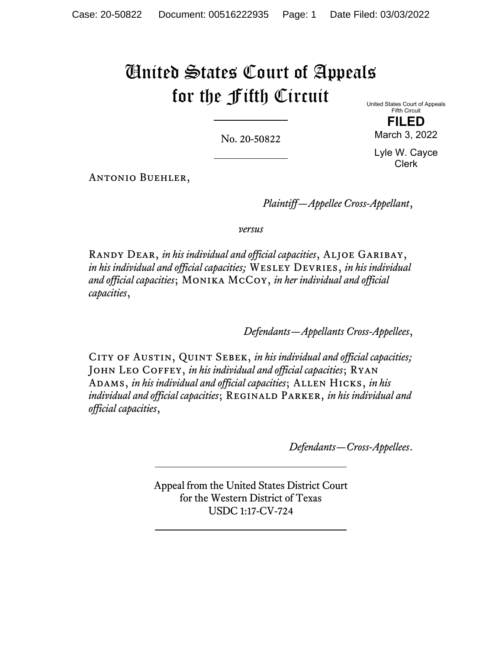# United States Court of Appeals for the Fifth Circuit

No. 20-50822

United States Court of Appeals Fifth Circuit **FILED** 

March 3, 2022

Lyle W. Cayce Clerk

Antonio Buehler,

*Plaintiff—Appellee Cross-Appellant*,

*versus*

Randy Dear, *in his individual and official capacities*, Aljoe Garibay, *in his individual and official capacities;* Wesley Devries, *in his individual and official capacities*; Monika McCoy, *in her individual and official capacities*,

*Defendants—Appellants Cross-Appellees*,

CITY OF AUSTIN, QUINT SEBEK, *in his individual and official capacities*; JOHN LEO COFFEY, *in his individual and official capacities*; RYAN ADAMS, *in his individual and official capacities*; ALLEN HICKS, *in his individual and official capacities*; REGINALD PARKER, *in his individual and official capacities*,

*Defendants—Cross-Appellees*.

Appeal from the United States District Court for the Western District of Texas USDC 1:17-CV-724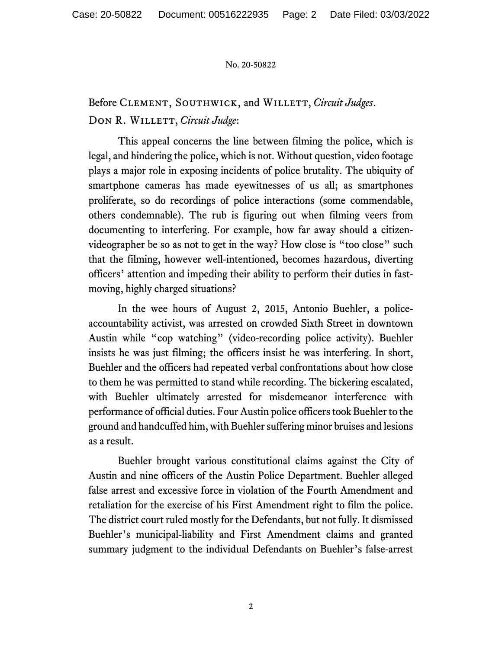# Before CLEMENT, SOUTHWICK, and WILLETT, *Circuit Judges*. DON R. WILLETT, *Circuit Judge*:

This appeal concerns the line between filming the police, which is legal, and hindering the police, which is not. Without question, video footage plays a major role in exposing incidents of police brutality. The ubiquity of smartphone cameras has made eyewitnesses of us all; as smartphones proliferate, so do recordings of police interactions (some commendable, others condemnable). The rub is figuring out when filming veers from documenting to interfering. For example, how far away should a citizenvideographer be so as not to get in the way? How close is "too close" such that the filming, however well-intentioned, becomes hazardous, diverting officers' attention and impeding their ability to perform their duties in fastmoving, highly charged situations?

In the wee hours of August 2, 2015, Antonio Buehler, a policeaccountability activist, was arrested on crowded Sixth Street in downtown Austin while "cop watching" (video-recording police activity). Buehler insists he was just filming; the officers insist he was interfering. In short, Buehler and the officers had repeated verbal confrontations about how close to them he was permitted to stand while recording. The bickering escalated, with Buehler ultimately arrested for misdemeanor interference with performance of official duties. Four Austin police officers took Buehler to the ground and handcuffed him, with Buehler suffering minor bruises and lesions as a result.

Buehler brought various constitutional claims against the City of Austin and nine officers of the Austin Police Department. Buehler alleged false arrest and excessive force in violation of the Fourth Amendment and retaliation for the exercise of his First Amendment right to film the police. The district court ruled mostly for the Defendants, but not fully. It dismissed Buehler's municipal-liability and First Amendment claims and granted summary judgment to the individual Defendants on Buehler's false-arrest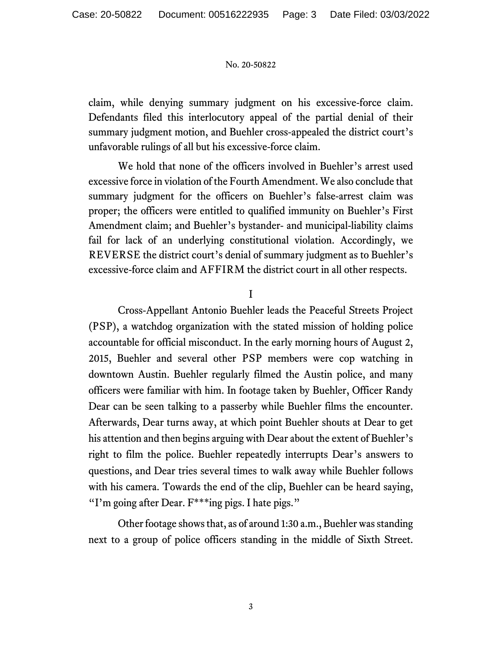claim, while denying summary judgment on his excessive-force claim. Defendants filed this interlocutory appeal of the partial denial of their summary judgment motion, and Buehler cross-appealed the district court's unfavorable rulings of all but his excessive-force claim.

We hold that none of the officers involved in Buehler's arrest used excessive force in violation of the Fourth Amendment. We also conclude that summary judgment for the officers on Buehler's false-arrest claim was proper; the officers were entitled to qualified immunity on Buehler's First Amendment claim; and Buehler's bystander- and municipal-liability claims fail for lack of an underlying constitutional violation. Accordingly, we REVERSE the district court's denial of summary judgment as to Buehler's excessive-force claim and AFFIRM the district court in all other respects.

I

Cross-Appellant Antonio Buehler leads the Peaceful Streets Project (PSP), a watchdog organization with the stated mission of holding police accountable for official misconduct. In the early morning hours of August 2, 2015, Buehler and several other PSP members were cop watching in downtown Austin. Buehler regularly filmed the Austin police, and many officers were familiar with him. In footage taken by Buehler, Officer Randy Dear can be seen talking to a passerby while Buehler films the encounter. Afterwards, Dear turns away, at which point Buehler shouts at Dear to get his attention and then begins arguing with Dear about the extent of Buehler's right to film the police. Buehler repeatedly interrupts Dear's answers to questions, and Dear tries several times to walk away while Buehler follows with his camera. Towards the end of the clip, Buehler can be heard saying, "I'm going after Dear. F\*\*\*ing pigs. I hate pigs."

Other footage shows that, as of around 1:30 a.m., Buehler was standing next to a group of police officers standing in the middle of Sixth Street.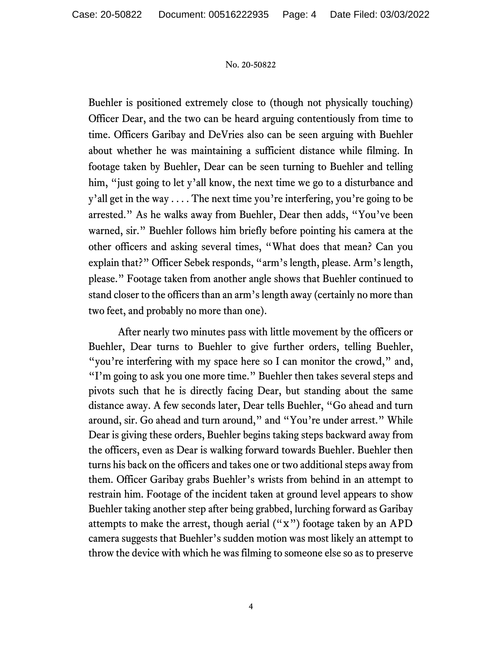Buehler is positioned extremely close to (though not physically touching) Officer Dear, and the two can be heard arguing contentiously from time to time. Officers Garibay and DeVries also can be seen arguing with Buehler about whether he was maintaining a sufficient distance while filming. In footage taken by Buehler, Dear can be seen turning to Buehler and telling him, "just going to let y'all know, the next time we go to a disturbance and y'all get in the way . . . . The next time you're interfering, you're going to be arrested." As he walks away from Buehler, Dear then adds, "You've been warned, sir." Buehler follows him briefly before pointing his camera at the other officers and asking several times, "What does that mean? Can you explain that?" Officer Sebek responds, "arm's length, please. Arm's length, please." Footage taken from another angle shows that Buehler continued to stand closer to the officers than an arm's length away (certainly no more than two feet, and probably no more than one).

After nearly two minutes pass with little movement by the officers or Buehler, Dear turns to Buehler to give further orders, telling Buehler, "you're interfering with my space here so I can monitor the crowd," and, "I'm going to ask you one more time." Buehler then takes several steps and pivots such that he is directly facing Dear, but standing about the same distance away. A few seconds later, Dear tells Buehler, "Go ahead and turn around, sir. Go ahead and turn around," and "You're under arrest." While Dear is giving these orders, Buehler begins taking steps backward away from the officers, even as Dear is walking forward towards Buehler. Buehler then turns his back on the officers and takes one or two additional steps away from them. Officer Garibay grabs Buehler's wrists from behind in an attempt to restrain him. Footage of the incident taken at ground level appears to show Buehler taking another step after being grabbed, lurching forward as Garibay attempts to make the arrest, though aerial  $("x")$  footage taken by an APD camera suggests that Buehler's sudden motion was most likely an attempt to throw the device with which he was filming to someone else so as to preserve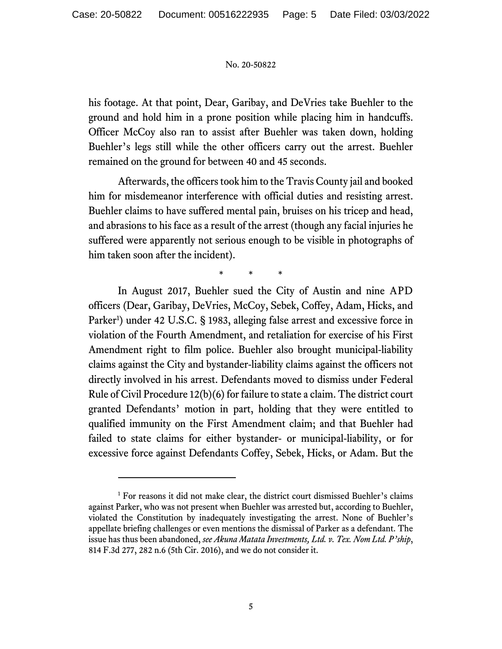his footage. At that point, Dear, Garibay, and DeVries take Buehler to the ground and hold him in a prone position while placing him in handcuffs. Officer McCoy also ran to assist after Buehler was taken down, holding Buehler's legs still while the other officers carry out the arrest. Buehler remained on the ground for between 40 and 45 seconds.

Afterwards, the officers took him to the Travis County jail and booked him for misdemeanor interference with official duties and resisting arrest. Buehler claims to have suffered mental pain, bruises on his tricep and head, and abrasions to his face as a result of the arrest (though any facial injuries he suffered were apparently not serious enough to be visible in photographs of him taken soon after the incident).

\* \* \*

In August 2017, Buehler sued the City of Austin and nine APD officers (Dear, Garibay, DeVries, McCoy, Sebek, Coffey, Adam, Hicks, and Parker<sup>1</sup>) under 42 U.S.C. § 1983, alleging false arrest and excessive force in violation of the Fourth Amendment, and retaliation for exercise of his First Amendment right to film police. Buehler also brought municipal-liability claims against the City and bystander-liability claims against the officers not directly involved in his arrest. Defendants moved to dismiss under Federal Rule of Civil Procedure 12(b)(6) for failure to state a claim. The district court granted Defendants' motion in part, holding that they were entitled to qualified immunity on the First Amendment claim; and that Buehler had failed to state claims for either bystander- or municipal-liability, or for excessive force against Defendants Coffey, Sebek, Hicks, or Adam. But the

<sup>&</sup>lt;sup>1</sup> For reasons it did not make clear, the district court dismissed Buehler's claims against Parker, who was not present when Buehler was arrested but, according to Buehler, violated the Constitution by inadequately investigating the arrest. None of Buehler's appellate briefing challenges or even mentions the dismissal of Parker as a defendant. The issue has thus been abandoned, *see Akuna Matata Investments, Ltd. v. Tex. Nom Ltd. P'ship*, 814 F.3d 277, 282 n.6 (5th Cir. 2016), and we do not consider it.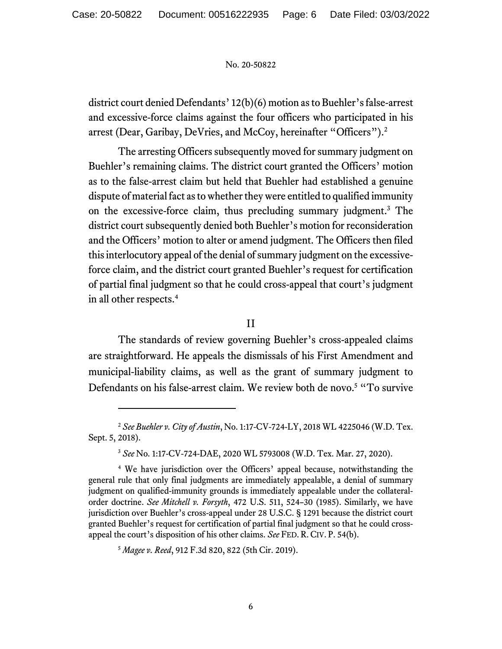district court denied Defendants' 12(b)(6) motion as to Buehler's false-arrest and excessive-force claims against the four officers who participated in his arrest (Dear, Garibay, DeVries, and McCoy, hereinafter "Officers").<sup>2</sup>

The arresting Officers subsequently moved for summary judgment on Buehler's remaining claims. The district court granted the Officers' motion as to the false-arrest claim but held that Buehler had established a genuine dispute of material fact as to whether they were entitled to qualified immunity on the excessive-force claim, thus precluding summary judgment.3 The district court subsequently denied both Buehler's motion for reconsideration and the Officers' motion to alter or amend judgment. The Officers then filed this interlocutory appeal of the denial of summary judgment on the excessiveforce claim, and the district court granted Buehler's request for certification of partial final judgment so that he could cross-appeal that court's judgment in all other respects.<sup>4</sup>

II

The standards of review governing Buehler's cross-appealed claims are straightforward. He appeals the dismissals of his First Amendment and municipal-liability claims, as well as the grant of summary judgment to Defendants on his false-arrest claim. We review both de novo.<sup>5</sup> "To survive

<sup>5</sup> *Magee v. Reed*, 912 F.3d 820, 822 (5th Cir. 2019).

<sup>2</sup> *See Buehler v. City of Austin*, No. 1:17-CV-724-LY, 2018 WL 4225046 (W.D. Tex. Sept. 5, 2018).

<sup>3</sup> *See* No. 1:17-CV-724-DAE, 2020 WL 5793008 (W.D. Tex. Mar. 27, 2020).

<sup>4</sup> We have jurisdiction over the Officers' appeal because, notwithstanding the general rule that only final judgments are immediately appealable, a denial of summary judgment on qualified-immunity grounds is immediately appealable under the collateralorder doctrine. *See Mitchell v. Forsyth*, 472 U.S. 511, 524–30 (1985). Similarly, we have jurisdiction over Buehler's cross-appeal under 28 U.S.C. § 1291 because the district court granted Buehler's request for certification of partial final judgment so that he could crossappeal the court's disposition of his other claims. *See* FED. R. CIV. P. 54(b).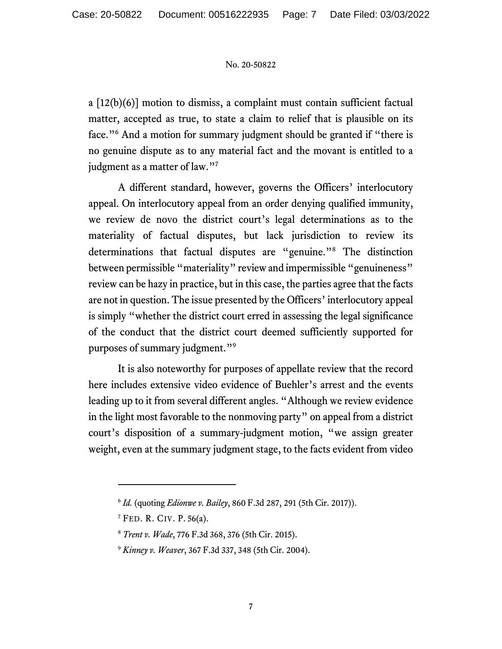a  $[12(b)(6)]$  motion to dismiss, a complaint must contain sufficient factual matter, accepted as true, to state a claim to relief that is plausible on its face."<sup>6</sup> And a motion for summary judgment should be granted if "there is no genuine dispute as to any material fact and the movant is entitled to a judgment as a matter of law."<sup>7</sup>

A different standard, however, governs the Officers' interlocutory appeal. On interlocutory appeal from an order denying qualified immunity, we review de novo the district court's legal determinations as to the materiality of factual disputes, but lack jurisdiction to review its determinations that factual disputes are "genuine."8 The distinction between permissible "materiality" review and impermissible "genuineness" review can be hazy in practice, but in this case, the parties agree that the facts are not in question. The issue presented by the Officers' interlocutory appeal is simply "whether the district court erred in assessing the legal significance of the conduct that the district court deemed sufficiently supported for purposes of summary judgment."9

It is also noteworthy for purposes of appellate review that the record here includes extensive video evidence of Buehler's arrest and the events leading up to it from several different angles. "Although we review evidence in the light most favorable to the nonmoving party" on appeal from a district court's disposition of a summary-judgment motion, "we assign greater weight, even at the summary judgment stage, to the facts evident from video

<sup>6</sup> *Id.* (quoting *Edionwe v. Bailey*, 860 F.3d 287, 291 (5th Cir. 2017)).

 $7$  FED. R. CIV. P. 56(a).

<sup>8</sup> *Trent v. Wade*, 776 F.3d 368, 376 (5th Cir. 2015).

<sup>9</sup> *Kinney v. Weaver*, 367 F.3d 337, 348 (5th Cir. 2004).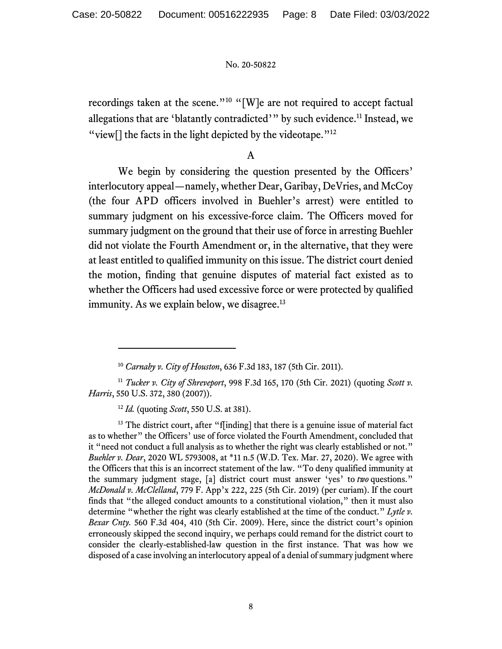recordings taken at the scene."<sup>10</sup> "[W]e are not required to accept factual allegations that are 'blatantly contradicted'" by such evidence.<sup>11</sup> Instead, we "view $\lceil \cdot \rceil$  the facts in the light depicted by the videotape."<sup>12</sup>

A

We begin by considering the question presented by the Officers' interlocutory appeal—namely, whether Dear, Garibay, DeVries, and McCoy (the four APD officers involved in Buehler's arrest) were entitled to summary judgment on his excessive-force claim. The Officers moved for summary judgment on the ground that their use of force in arresting Buehler did not violate the Fourth Amendment or, in the alternative, that they were at least entitled to qualified immunity on this issue. The district court denied the motion, finding that genuine disputes of material fact existed as to whether the Officers had used excessive force or were protected by qualified immunity. As we explain below, we disagree.<sup>13</sup>

<sup>12</sup> *Id.* (quoting *Scott*, 550 U.S. at 381).

<sup>13</sup> The district court, after "f[inding] that there is a genuine issue of material fact as to whether" the Officers' use of force violated the Fourth Amendment, concluded that it "need not conduct a full analysis as to whether the right was clearly established or not." *Buehler v. Dear*, 2020 WL 5793008, at \*11 n.5 (W.D. Tex. Mar. 27, 2020). We agree with the Officers that this is an incorrect statement of the law. "To deny qualified immunity at the summary judgment stage, [a] district court must answer 'yes' to *two* questions." *McDonald v. McClelland*, 779 F. App'x 222, 225 (5th Cir. 2019) (per curiam). If the court finds that "the alleged conduct amounts to a constitutional violation," then it must also determine "whether the right was clearly established at the time of the conduct." *Lytle v. Bexar Cnty.* 560 F.3d 404, 410 (5th Cir. 2009). Here, since the district court's opinion erroneously skipped the second inquiry, we perhaps could remand for the district court to consider the clearly-established-law question in the first instance. That was how we disposed of a case involving an interlocutory appeal of a denial of summary judgment where

<sup>10</sup> *Carnaby v. City of Houston*, 636 F.3d 183, 187 (5th Cir. 2011).

<sup>11</sup> *Tucker v. City of Shreveport*, 998 F.3d 165, 170 (5th Cir. 2021) (quoting *Scott v. Harris*, 550 U.S. 372, 380 (2007)).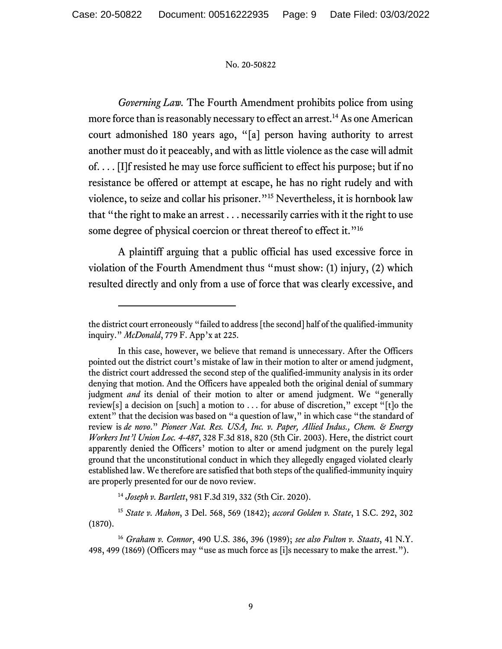*Governing Law.* The Fourth Amendment prohibits police from using more force than is reasonably necessary to effect an arrest.<sup>14</sup> As one American court admonished 180 years ago, "[a] person having authority to arrest another must do it peaceably, and with as little violence as the case will admit of. . . . [I]f resisted he may use force sufficient to effect his purpose; but if no resistance be offered or attempt at escape, he has no right rudely and with violence, to seize and collar his prisoner."15 Nevertheless, it is hornbook law that "the right to make an arrest . . . necessarily carries with it the right to use some degree of physical coercion or threat thereof to effect it."<sup>16</sup>

A plaintiff arguing that a public official has used excessive force in violation of the Fourth Amendment thus "must show: (1) injury, (2) which resulted directly and only from a use of force that was clearly excessive, and

the district court erroneously "failed to address [the second] half of the qualified-immunity inquiry." *McDonald*, 779 F. App'x at 225.

In this case, however, we believe that remand is unnecessary. After the Officers pointed out the district court's mistake of law in their motion to alter or amend judgment, the district court addressed the second step of the qualified-immunity analysis in its order denying that motion. And the Officers have appealed both the original denial of summary judgment *and* its denial of their motion to alter or amend judgment. We "generally review[s] a decision on [such] a motion to . . . for abuse of discretion," except "[t]o the extent" that the decision was based on "a question of law," in which case "the standard of review is *de novo*." *Pioneer Nat. Res. USA, Inc. v. Paper, Allied Indus., Chem. & Energy Workers Int'l Union Loc. 4-487*, 328 F.3d 818, 820 (5th Cir. 2003). Here, the district court apparently denied the Officers' motion to alter or amend judgment on the purely legal ground that the unconstitutional conduct in which they allegedly engaged violated clearly established law. We therefore are satisfied that both steps of the qualified-immunity inquiry are properly presented for our de novo review.

<sup>14</sup> *Joseph v. Bartlett*, 981 F.3d 319, 332 (5th Cir. 2020).

<sup>15</sup> *State v. Mahon*, 3 Del. 568, 569 (1842); *accord Golden v. State*, 1 S.C. 292, 302 (1870).

<sup>16</sup> *Graham v. Connor*, 490 U.S. 386, 396 (1989); *see also Fulton v. Staats*, 41 N.Y. 498, 499 (1869) (Officers may "use as much force as [i]s necessary to make the arrest.").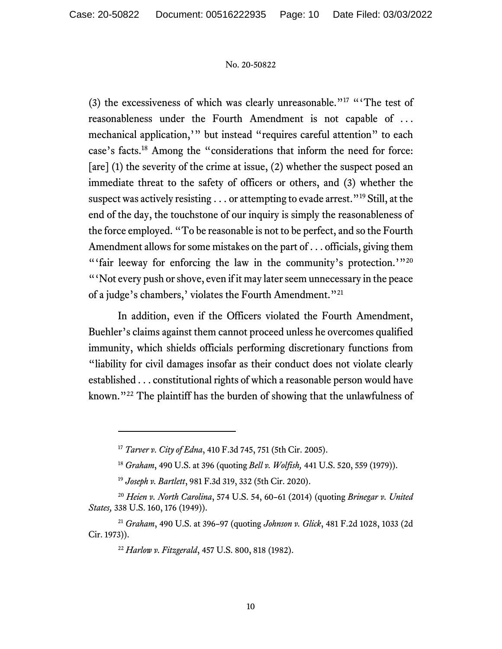(3) the excessiveness of which was clearly unreasonable."<sup>17</sup> "The test of reasonableness under the Fourth Amendment is not capable of . . . mechanical application,'" but instead "requires careful attention" to each case's facts.18 Among the "considerations that inform the need for force: [are] (1) the severity of the crime at issue, (2) whether the suspect posed an immediate threat to the safety of officers or others, and (3) whether the suspect was actively resisting . . . or attempting to evade arrest."<sup>19</sup> Still, at the end of the day, the touchstone of our inquiry is simply the reasonableness of the force employed. "To be reasonable is not to be perfect, and so the Fourth Amendment allows for some mistakes on the part of . . . officials, giving them "'fair leeway for enforcing the law in the community's protection.'"<sup>20</sup> "'Not every push or shove, even if it may later seem unnecessary in the peace of a judge's chambers,' violates the Fourth Amendment."<sup>21</sup>

In addition, even if the Officers violated the Fourth Amendment, Buehler's claims against them cannot proceed unless he overcomes qualified immunity, which shields officials performing discretionary functions from "liability for civil damages insofar as their conduct does not violate clearly established . . . constitutional rights of which a reasonable person would have known."22 The plaintiff has the burden of showing that the unlawfulness of

<sup>17</sup> *Tarver v. City of Edna*, 410 F.3d 745, 751 (5th Cir. 2005).

<sup>18</sup> *Graham*, 490 U.S. at 396 (quoting *Bell v. Wolfish,* 441 U.S. 520, 559 (1979)).

<sup>19</sup> *Joseph v. Bartlett*, 981 F.3d 319, 332 (5th Cir. 2020).

<sup>20</sup> *Heien v. North Carolina*, 574 U.S. 54, 60–61 (2014) (quoting *Brinegar v. United States,* 338 U.S. 160, 176 (1949)).

<sup>21</sup> *Graham*, 490 U.S. at 396–97 (quoting *Johnson v. Glick*, 481 F.2d 1028, 1033 (2d Cir. 1973)).

<sup>22</sup> *Harlow v. Fitzgerald*, 457 U.S. 800, 818 (1982).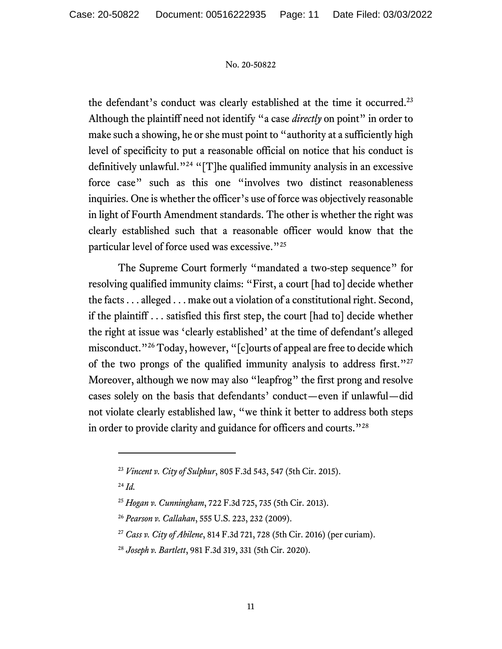the defendant's conduct was clearly established at the time it occurred.<sup>23</sup> Although the plaintiff need not identify "a case *directly* on point" in order to make such a showing, he or she must point to "authority at a sufficiently high level of specificity to put a reasonable official on notice that his conduct is definitively unlawful."<sup>24</sup> "[T]he qualified immunity analysis in an excessive force case" such as this one "involves two distinct reasonableness inquiries. One is whether the officer's use of force was objectively reasonable in light of Fourth Amendment standards. The other is whether the right was clearly established such that a reasonable officer would know that the particular level of force used was excessive."<sup>25</sup>

The Supreme Court formerly "mandated a two-step sequence" for resolving qualified immunity claims: "First, a court [had to] decide whether the facts . . . alleged . . . make out a violation of a constitutional right. Second, if the plaintiff . . . satisfied this first step, the court [had to] decide whether the right at issue was 'clearly established' at the time of defendant's alleged misconduct."26 Today, however, "[c]ourts of appeal are free to decide which of the two prongs of the qualified immunity analysis to address first."<sup>27</sup> Moreover, although we now may also "leapfrog" the first prong and resolve cases solely on the basis that defendants' conduct—even if unlawful—did not violate clearly established law, "we think it better to address both steps in order to provide clarity and guidance for officers and courts."<sup>28</sup>

<sup>24</sup> *Id.* 

<sup>23</sup> *Vincent v. City of Sulphur*, 805 F.3d 543, 547 (5th Cir. 2015).

<sup>25</sup> *Hogan v. Cunningham*, 722 F.3d 725, 735 (5th Cir. 2013).

<sup>26</sup> *Pearson v. Callahan*, 555 U.S. 223, 232 (2009).

<sup>27</sup> *Cass v. City of Abilene*, 814 F.3d 721, 728 (5th Cir. 2016) (per curiam).

<sup>28</sup> *Joseph v. Bartlett*, 981 F.3d 319, 331 (5th Cir. 2020).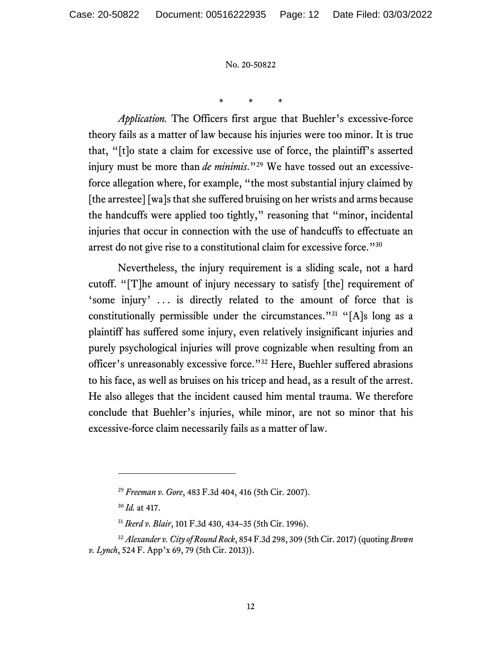\* \* \*

*Application.* The Officers first argue that Buehler's excessive-force theory fails as a matter of law because his injuries were too minor. It is true that, "[t]o state a claim for excessive use of force, the plaintiff's asserted injury must be more than *de minimis*."29 We have tossed out an excessiveforce allegation where, for example, "the most substantial injury claimed by [the arrestee] [wa]s that she suffered bruising on her wrists and arms because the handcuffs were applied too tightly," reasoning that "minor, incidental injuries that occur in connection with the use of handcuffs to effectuate an arrest do not give rise to a constitutional claim for excessive force."30

Nevertheless, the injury requirement is a sliding scale, not a hard cutoff. "[T]he amount of injury necessary to satisfy [the] requirement of 'some injury' ... is directly related to the amount of force that is constitutionally permissible under the circumstances."31 "[A]s long as a plaintiff has suffered some injury, even relatively insignificant injuries and purely psychological injuries will prove cognizable when resulting from an officer's unreasonably excessive force."32 Here, Buehler suffered abrasions to his face, as well as bruises on his tricep and head, as a result of the arrest. He also alleges that the incident caused him mental trauma. We therefore conclude that Buehler's injuries, while minor, are not so minor that his excessive-force claim necessarily fails as a matter of law.

<sup>29</sup> *Freeman v. Gore*, 483 F.3d 404, 416 (5th Cir. 2007).

<sup>30</sup> *Id.* at 417.

<sup>31</sup> *Ikerd v. Blair*, 101 F.3d 430, 434–35 (5th Cir. 1996).

<sup>32</sup> *Alexander v. City of Round Rock*, 854 F.3d 298, 309 (5th Cir. 2017) (quoting *Brown v. Lynch*, 524 F. App'x 69, 79 (5th Cir. 2013)).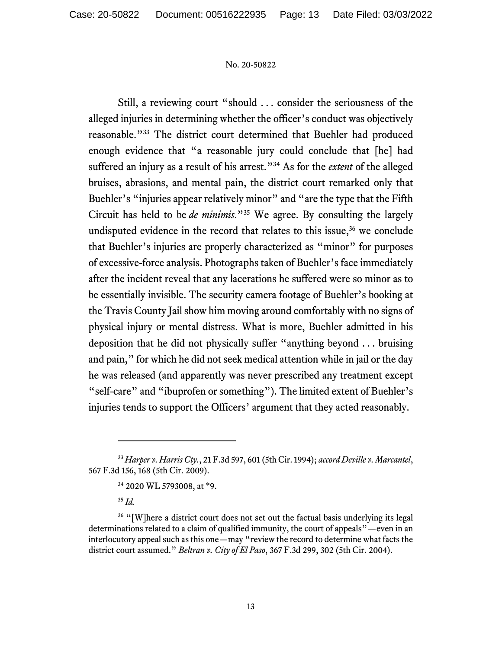Still, a reviewing court "should . . . consider the seriousness of the alleged injuries in determining whether the officer's conduct was objectively reasonable."33 The district court determined that Buehler had produced enough evidence that "a reasonable jury could conclude that [he] had suffered an injury as a result of his arrest."34 As for the *extent* of the alleged bruises, abrasions, and mental pain, the district court remarked only that Buehler's "injuries appear relatively minor" and "are the type that the Fifth Circuit has held to be *de minimis*."35 We agree. By consulting the largely undisputed evidence in the record that relates to this issue, $36$  we conclude that Buehler's injuries are properly characterized as "minor" for purposes of excessive-force analysis. Photographs taken of Buehler's face immediately after the incident reveal that any lacerations he suffered were so minor as to be essentially invisible. The security camera footage of Buehler's booking at the Travis County Jail show him moving around comfortably with no signs of physical injury or mental distress. What is more, Buehler admitted in his deposition that he did not physically suffer "anything beyond . . . bruising and pain," for which he did not seek medical attention while in jail or the day he was released (and apparently was never prescribed any treatment except "self-care" and "ibuprofen or something"). The limited extent of Buehler's injuries tends to support the Officers' argument that they acted reasonably.

<sup>33</sup> *Harper v. Harris Cty.*, 21 F.3d 597, 601 (5th Cir. 1994); *accord Deville v. Marcantel*, 567 F.3d 156, 168 (5th Cir. 2009).

<sup>34 2020</sup> WL 5793008, at \*9.

<sup>35</sup> *Id.* 

<sup>&</sup>lt;sup>36</sup> "[W]here a district court does not set out the factual basis underlying its legal determinations related to a claim of qualified immunity, the court of appeals"—even in an interlocutory appeal such as this one—may "review the record to determine what facts the district court assumed." *Beltran v. City of El Paso*, 367 F.3d 299, 302 (5th Cir. 2004).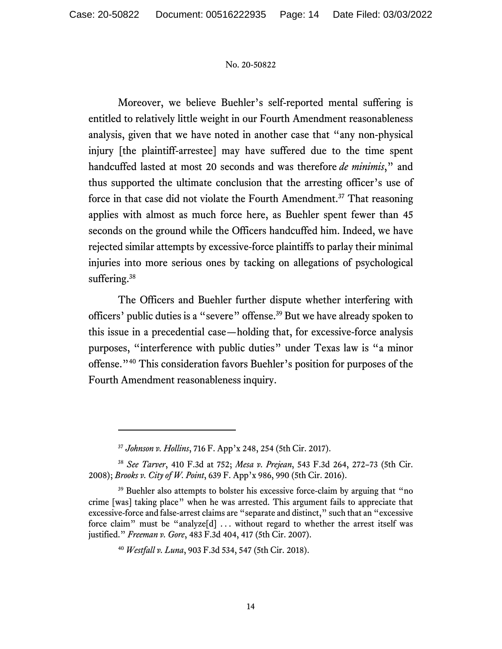Moreover, we believe Buehler's self-reported mental suffering is entitled to relatively little weight in our Fourth Amendment reasonableness analysis, given that we have noted in another case that "any non-physical injury [the plaintiff-arrestee] may have suffered due to the time spent handcuffed lasted at most 20 seconds and was therefore *de minimis*," and thus supported the ultimate conclusion that the arresting officer's use of force in that case did not violate the Fourth Amendment.<sup>37</sup> That reasoning applies with almost as much force here, as Buehler spent fewer than 45 seconds on the ground while the Officers handcuffed him. Indeed, we have rejected similar attempts by excessive-force plaintiffs to parlay their minimal injuries into more serious ones by tacking on allegations of psychological suffering.<sup>38</sup>

The Officers and Buehler further dispute whether interfering with officers' public duties is a "severe" offense.39 But we have already spoken to this issue in a precedential case—holding that, for excessive-force analysis purposes, "interference with public duties" under Texas law is "a minor offense."40 This consideration favors Buehler's position for purposes of the Fourth Amendment reasonableness inquiry.

<sup>37</sup> *Johnson v. Hollins*, 716 F. App'x 248, 254 (5th Cir. 2017).

<sup>38</sup> *See Tarver*, 410 F.3d at 752; *Mesa v. Prejean*, 543 F.3d 264, 272–73 (5th Cir. 2008); *Brooks v. City of W. Point*, 639 F. App'x 986, 990 (5th Cir. 2016).

<sup>&</sup>lt;sup>39</sup> Buehler also attempts to bolster his excessive force-claim by arguing that "no crime [was] taking place" when he was arrested. This argument fails to appreciate that excessive-force and false-arrest claims are "separate and distinct," such that an "excessive force claim" must be "analyze[d] ... without regard to whether the arrest itself was justified." *Freeman v. Gore*, 483 F.3d 404, 417 (5th Cir. 2007).

<sup>40</sup> *Westfall v. Luna*, 903 F.3d 534, 547 (5th Cir. 2018).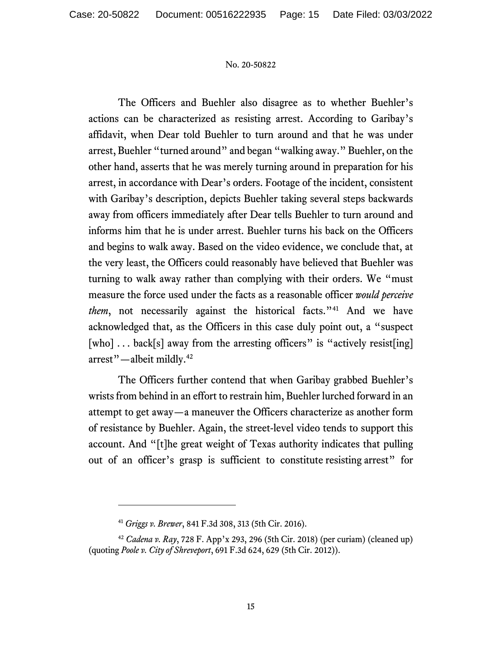The Officers and Buehler also disagree as to whether Buehler's actions can be characterized as resisting arrest. According to Garibay's affidavit, when Dear told Buehler to turn around and that he was under arrest, Buehler "turned around" and began "walking away." Buehler, on the other hand, asserts that he was merely turning around in preparation for his arrest, in accordance with Dear's orders. Footage of the incident, consistent with Garibay's description, depicts Buehler taking several steps backwards away from officers immediately after Dear tells Buehler to turn around and informs him that he is under arrest. Buehler turns his back on the Officers and begins to walk away. Based on the video evidence, we conclude that, at the very least, the Officers could reasonably have believed that Buehler was turning to walk away rather than complying with their orders. We "must measure the force used under the facts as a reasonable officer *would perceive them*, not necessarily against the historical facts.<sup>"41</sup> And we have acknowledged that, as the Officers in this case duly point out, a "suspect [who] ... back[s] away from the arresting officers" is "actively resist[ing] arrest"—albeit mildly.42

The Officers further contend that when Garibay grabbed Buehler's wrists from behind in an effort to restrain him, Buehler lurched forward in an attempt to get away—a maneuver the Officers characterize as another form of resistance by Buehler. Again, the street-level video tends to support this account. And "[t]he great weight of Texas authority indicates that pulling out of an officer's grasp is sufficient to constitute resisting arrest" for

<sup>41</sup> *Griggs v. Brewer*, 841 F.3d 308, 313 (5th Cir. 2016).

<sup>42</sup> *Cadena v. Ray*, 728 F. App'x 293, 296 (5th Cir. 2018) (per curiam) (cleaned up) (quoting *Poole v. City of Shreveport*, 691 F.3d 624, 629 (5th Cir. 2012)).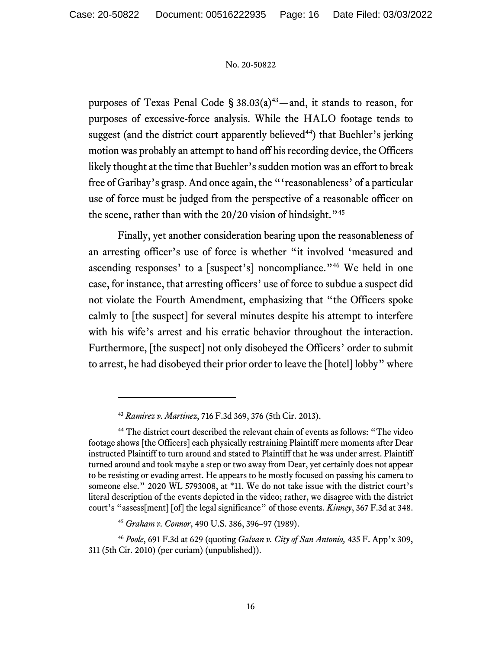purposes of Texas Penal Code  $\S 38.03(a)^{43}$ —and, it stands to reason, for purposes of excessive-force analysis. While the HALO footage tends to suggest (and the district court apparently believed<sup>44</sup>) that Buehler's jerking motion was probably an attempt to hand off his recording device, the Officers likely thought at the time that Buehler's sudden motion was an effort to break free of Garibay's grasp. And once again, the "'reasonableness' of a particular use of force must be judged from the perspective of a reasonable officer on the scene, rather than with the  $20/20$  vision of hindsight."<sup>45</sup>

Finally, yet another consideration bearing upon the reasonableness of an arresting officer's use of force is whether "it involved 'measured and ascending responses' to a [suspect's] noncompliance."46 We held in one case, for instance, that arresting officers' use of force to subdue a suspect did not violate the Fourth Amendment, emphasizing that "the Officers spoke calmly to [the suspect] for several minutes despite his attempt to interfere with his wife's arrest and his erratic behavior throughout the interaction. Furthermore, [the suspect] not only disobeyed the Officers' order to submit to arrest, he had disobeyed their prior order to leave the [hotel] lobby" where

<sup>43</sup> *Ramirez v. Martinez*, 716 F.3d 369, 376 (5th Cir. 2013).

<sup>&</sup>lt;sup>44</sup> The district court described the relevant chain of events as follows: "The video footage shows [the Officers] each physically restraining Plaintiff mere moments after Dear instructed Plaintiff to turn around and stated to Plaintiff that he was under arrest. Plaintiff turned around and took maybe a step or two away from Dear, yet certainly does not appear to be resisting or evading arrest. He appears to be mostly focused on passing his camera to someone else." 2020 WL 5793008, at \*11. We do not take issue with the district court's literal description of the events depicted in the video; rather, we disagree with the district court's "assess[ment] [of] the legal significance" of those events. *Kinney*, 367 F.3d at 348.

<sup>45</sup> *Graham v. Connor*, 490 U.S. 386, 396–97 (1989).

<sup>46</sup> *Poole*, 691 F.3d at 629 (quoting *Galvan v. City of San Antonio,* 435 F. App'x 309, 311 (5th Cir. 2010) (per curiam) (unpublished)).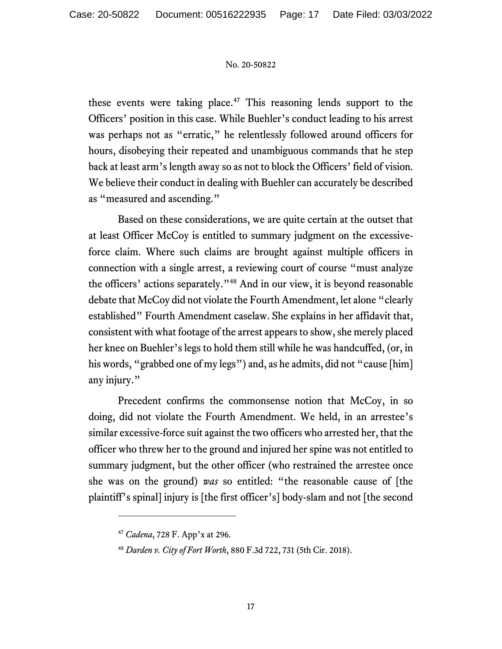these events were taking place.<sup>47</sup> This reasoning lends support to the Officers' position in this case. While Buehler's conduct leading to his arrest was perhaps not as "erratic," he relentlessly followed around officers for hours, disobeying their repeated and unambiguous commands that he step back at least arm's length away so as not to block the Officers' field of vision. We believe their conduct in dealing with Buehler can accurately be described as "measured and ascending."

Based on these considerations, we are quite certain at the outset that at least Officer McCoy is entitled to summary judgment on the excessiveforce claim. Where such claims are brought against multiple officers in connection with a single arrest, a reviewing court of course "must analyze the officers' actions separately."48 And in our view, it is beyond reasonable debate that McCoy did not violate the Fourth Amendment, let alone "clearly established" Fourth Amendment caselaw. She explains in her affidavit that, consistent with what footage of the arrest appears to show, she merely placed her knee on Buehler's legs to hold them still while he was handcuffed, (or, in his words, "grabbed one of my legs") and, as he admits, did not "cause [him] any injury."

Precedent confirms the commonsense notion that McCoy, in so doing, did not violate the Fourth Amendment. We held, in an arrestee's similar excessive-force suit against the two officers who arrested her, that the officer who threw her to the ground and injured her spine was not entitled to summary judgment, but the other officer (who restrained the arrestee once she was on the ground) *was* so entitled: "the reasonable cause of [the plaintiff's spinal] injury is [the first officer's] body-slam and not [the second

<sup>47</sup> *Cadena*, 728 F. App'x at 296.

<sup>48</sup> *Darden v. City of Fort Worth*, 880 F.3d 722, 731 (5th Cir. 2018).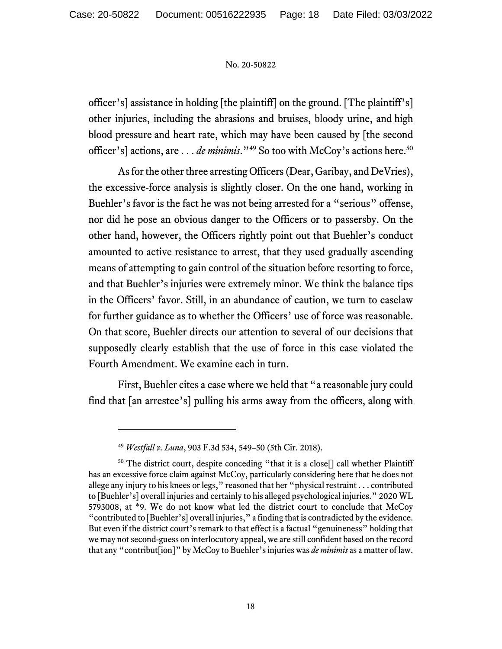officer's] assistance in holding [the plaintiff] on the ground. [The plaintiff's] other injuries, including the abrasions and bruises, bloody urine, and high blood pressure and heart rate, which may have been caused by [the second officer's] actions, are . . . *de minimis*."<sup>49</sup> So too with McCoy's actions here.<sup>50</sup>

As for the other three arresting Officers (Dear, Garibay, and DeVries), the excessive-force analysis is slightly closer. On the one hand, working in Buehler's favor is the fact he was not being arrested for a "serious" offense, nor did he pose an obvious danger to the Officers or to passersby. On the other hand, however, the Officers rightly point out that Buehler's conduct amounted to active resistance to arrest, that they used gradually ascending means of attempting to gain control of the situation before resorting to force, and that Buehler's injuries were extremely minor. We think the balance tips in the Officers' favor. Still, in an abundance of caution, we turn to caselaw for further guidance as to whether the Officers' use of force was reasonable. On that score, Buehler directs our attention to several of our decisions that supposedly clearly establish that the use of force in this case violated the Fourth Amendment. We examine each in turn.

First, Buehler cites a case where we held that "a reasonable jury could find that [an arrestee's] pulling his arms away from the officers, along with

<sup>49</sup> *Westfall v. Luna*, 903 F.3d 534, 549–50 (5th Cir. 2018).

<sup>50</sup> The district court, despite conceding "that it is a close[] call whether Plaintiff has an excessive force claim against McCoy, particularly considering here that he does not allege any injury to his knees or legs," reasoned that her "physical restraint . . . contributed to [Buehler's] overall injuries and certainly to his alleged psychological injuries." 2020 WL 5793008, at \*9. We do not know what led the district court to conclude that McCoy "contributed to [Buehler's] overall injuries," a finding that is contradicted by the evidence. But even if the district court's remark to that effect is a factual "genuineness" holding that we may not second-guess on interlocutory appeal, we are still confident based on the record that any "contribut[ion]" by McCoy to Buehler's injuries was *de minimis* as a matter of law.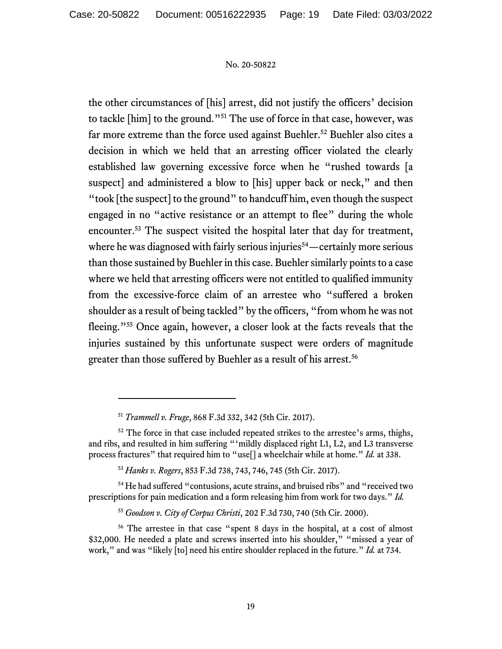the other circumstances of [his] arrest, did not justify the officers' decision to tackle [him] to the ground."51 The use of force in that case, however, was far more extreme than the force used against Buehler.<sup>52</sup> Buehler also cites a decision in which we held that an arresting officer violated the clearly established law governing excessive force when he "rushed towards [a suspect] and administered a blow to [his] upper back or neck," and then "took [the suspect] to the ground" to handcuff him, even though the suspect engaged in no "active resistance or an attempt to flee" during the whole encounter.53 The suspect visited the hospital later that day for treatment, where he was diagnosed with fairly serious injuries<sup>54</sup>—certainly more serious than those sustained by Buehler in this case. Buehler similarly points to a case where we held that arresting officers were not entitled to qualified immunity from the excessive-force claim of an arrestee who "suffered a broken shoulder as a result of being tackled" by the officers, "from whom he was not fleeing."55 Once again, however, a closer look at the facts reveals that the injuries sustained by this unfortunate suspect were orders of magnitude greater than those suffered by Buehler as a result of his arrest.<sup>56</sup>

54 He had suffered "contusions, acute strains, and bruised ribs" and "received two prescriptions for pain medication and a form releasing him from work for two days." *Id.* 

<sup>51</sup> *Trammell v. Fruge*, 868 F.3d 332, 342 (5th Cir. 2017).

 $52$  The force in that case included repeated strikes to the arrestee's arms, thighs, and ribs, and resulted in him suffering "'mildly displaced right L1, L2, and L3 transverse process fractures" that required him to "use[] a wheelchair while at home." *Id.* at 338.

<sup>53</sup> *Hanks v. Rogers*, 853 F.3d 738, 743, 746, 745 (5th Cir. 2017).

<sup>55</sup> *Goodson v. City of Corpus Christi*, 202 F.3d 730, 740 (5th Cir. 2000).

<sup>56</sup> The arrestee in that case "spent 8 days in the hospital, at a cost of almost \$32,000. He needed a plate and screws inserted into his shoulder," "missed a year of work," and was "likely [to] need his entire shoulder replaced in the future." *Id.* at 734.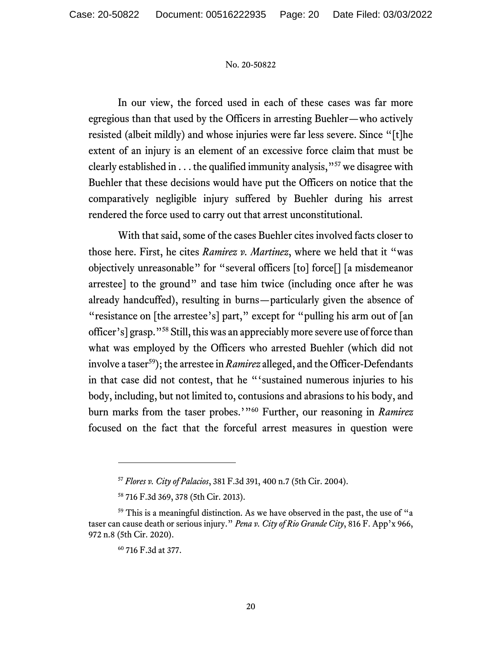In our view, the forced used in each of these cases was far more egregious than that used by the Officers in arresting Buehler—who actively resisted (albeit mildly) and whose injuries were far less severe. Since "[t]he extent of an injury is an element of an excessive force claim that must be clearly established in  $\dots$  the qualified immunity analysis,  $^{957}$  we disagree with Buehler that these decisions would have put the Officers on notice that the comparatively negligible injury suffered by Buehler during his arrest rendered the force used to carry out that arrest unconstitutional.

With that said, some of the cases Buehler cites involved facts closer to those here. First, he cites *Ramirez v. Martinez*, where we held that it "was objectively unreasonable" for "several officers [to] force[] [a misdemeanor arrestee] to the ground" and tase him twice (including once after he was already handcuffed), resulting in burns—particularly given the absence of "resistance on [the arrestee's] part," except for "pulling his arm out of [an officer's] grasp."58 Still, this was an appreciably more severe use of force than what was employed by the Officers who arrested Buehler (which did not involve a taser<sup>59</sup>); the arrestee in *Ramirez* alleged, and the Officer-Defendants in that case did not contest, that he "'sustained numerous injuries to his body, including, but not limited to, contusions and abrasions to his body, and burn marks from the taser probes.'"60 Further, our reasoning in *Ramirez*  focused on the fact that the forceful arrest measures in question were

<sup>57</sup> *Flores v. City of Palacios*, 381 F.3d 391, 400 n.7 (5th Cir. 2004).

<sup>58 716</sup> F.3d 369, 378 (5th Cir. 2013).

 $59$  This is a meaningful distinction. As we have observed in the past, the use of "a taser can cause death or serious injury." *Pena v. City of Rio Grande City*, 816 F. App'x 966, 972 n.8 (5th Cir. 2020).

<sup>60 716</sup> F.3d at 377.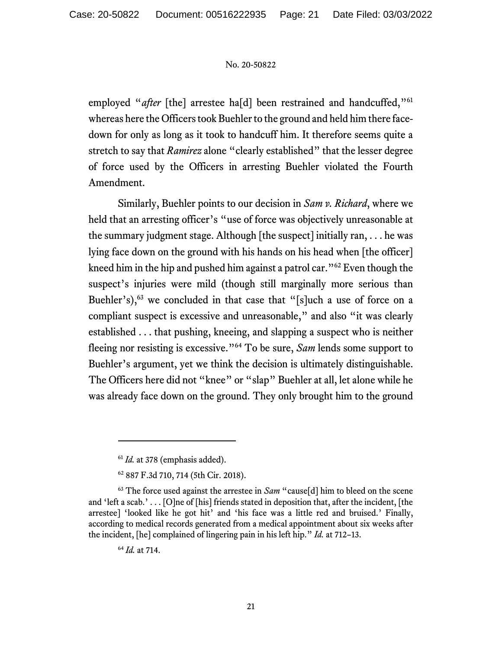employed "*after* [the] arrestee ha[d] been restrained and handcuffed,"<sup>61</sup> whereas here the Officers took Buehler to the ground and held him there facedown for only as long as it took to handcuff him. It therefore seems quite a stretch to say that *Ramirez* alone "clearly established" that the lesser degree of force used by the Officers in arresting Buehler violated the Fourth Amendment.

Similarly, Buehler points to our decision in *Sam v. Richard*, where we held that an arresting officer's "use of force was objectively unreasonable at the summary judgment stage. Although [the suspect] initially ran, . . . he was lying face down on the ground with his hands on his head when [the officer] kneed him in the hip and pushed him against a patrol car."62 Even though the suspect's injuries were mild (though still marginally more serious than Buehler's), $63$  we concluded in that case that "[s]uch a use of force on a compliant suspect is excessive and unreasonable," and also "it was clearly established . . . that pushing, kneeing, and slapping a suspect who is neither fleeing nor resisting is excessive."64 To be sure, *Sam* lends some support to Buehler's argument, yet we think the decision is ultimately distinguishable. The Officers here did not "knee" or "slap" Buehler at all, let alone while he was already face down on the ground. They only brought him to the ground

<sup>&</sup>lt;sup>61</sup> *Id.* at 378 (emphasis added).

<sup>62 887</sup> F.3d 710, 714 (5th Cir. 2018).

<sup>63</sup> The force used against the arrestee in *Sam* "cause[d] him to bleed on the scene and 'left a scab.' . . . [O]ne of [his] friends stated in deposition that, after the incident, [the arrestee] 'looked like he got hit' and 'his face was a little red and bruised.' Finally, according to medical records generated from a medical appointment about six weeks after the incident, [he] complained of lingering pain in his left hip." *Id.* at 712–13.

<sup>64</sup> *Id.* at 714.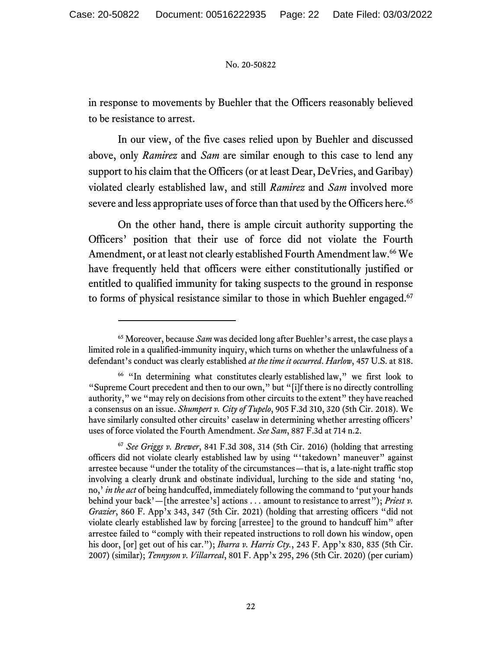in response to movements by Buehler that the Officers reasonably believed to be resistance to arrest.

In our view, of the five cases relied upon by Buehler and discussed above, only *Ramirez* and *Sam* are similar enough to this case to lend any support to his claim that the Officers (or at least Dear, DeVries, and Garibay) violated clearly established law, and still *Ramirez* and *Sam* involved more severe and less appropriate uses of force than that used by the Officers here.<sup>65</sup>

On the other hand, there is ample circuit authority supporting the Officers' position that their use of force did not violate the Fourth Amendment, or at least not clearly established Fourth Amendment law.<sup>66</sup> We have frequently held that officers were either constitutionally justified or entitled to qualified immunity for taking suspects to the ground in response to forms of physical resistance similar to those in which Buehler engaged.<sup>67</sup>

<sup>65</sup> Moreover, because *Sam* was decided long after Buehler's arrest, the case plays a limited role in a qualified-immunity inquiry, which turns on whether the unlawfulness of a defendant's conduct was clearly established *at the time it occurred*. *Harlow*, 457 U.S. at 818.

<sup>66 &</sup>quot;In determining what constitutes clearly established law," we first look to "Supreme Court precedent and then to our own," but "[i]f there is no directly controlling authority," we "may rely on decisions from other circuits to the extent" they have reached a consensus on an issue. *Shumpert v. City of Tupelo*, 905 F.3d 310, 320 (5th Cir. 2018). We have similarly consulted other circuits' caselaw in determining whether arresting officers' uses of force violated the Fourth Amendment. *See Sam*, 887 F.3d at 714 n.2.

<sup>67</sup> *See Griggs v. Brewer*, 841 F.3d 308, 314 (5th Cir. 2016) (holding that arresting officers did not violate clearly established law by using "'takedown' maneuver" against arrestee because "under the totality of the circumstances—that is, a late-night traffic stop involving a clearly drunk and obstinate individual, lurching to the side and stating 'no, no,' *in the act* of being handcuffed, immediately following the command to 'put your hands behind your back'—[the arrestee's] actions . . . amount to resistance to arrest"); *Priest v. Grazier*, 860 F. App'x 343, 347 (5th Cir. 2021) (holding that arresting officers "did not violate clearly established law by forcing [arrestee] to the ground to handcuff him" after arrestee failed to "comply with their repeated instructions to roll down his window, open his door, [or] get out of his car."); *Ibarra v. Harris Cty.*, 243 F. App'x 830, 835 (5th Cir. 2007) (similar); *Tennyson v. Villarreal*, 801 F. App'x 295, 296 (5th Cir. 2020) (per curiam)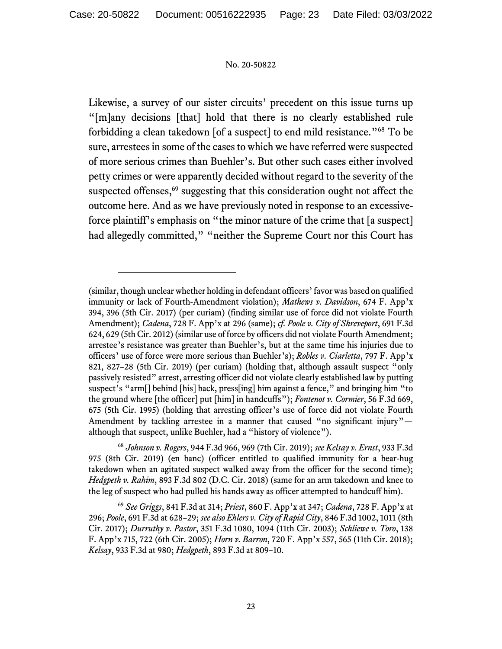Likewise, a survey of our sister circuits' precedent on this issue turns up "[m]any decisions [that] hold that there is no clearly established rule forbidding a clean takedown [of a suspect] to end mild resistance."68 To be sure, arrestees in some of the cases to which we have referred were suspected of more serious crimes than Buehler's. But other such cases either involved petty crimes or were apparently decided without regard to the severity of the suspected offenses,<sup>69</sup> suggesting that this consideration ought not affect the outcome here. And as we have previously noted in response to an excessiveforce plaintiff's emphasis on "the minor nature of the crime that [a suspect] had allegedly committed," "neither the Supreme Court nor this Court has

<sup>(</sup>similar, though unclear whether holding in defendant officers' favor was based on qualified immunity or lack of Fourth-Amendment violation); *Mathews v. Davidson*, 674 F. App'x 394, 396 (5th Cir. 2017) (per curiam) (finding similar use of force did not violate Fourth Amendment); *Cadena*, 728 F. App'x at 296 (same); *cf. Poole v. City of Shreveport*, 691 F.3d 624, 629 (5th Cir. 2012) (similar use of force by officers did not violate Fourth Amendment; arrestee's resistance was greater than Buehler's, but at the same time his injuries due to officers' use of force were more serious than Buehler's); *Robles v. Ciarletta*, 797 F. App'x 821, 827–28 (5th Cir. 2019) (per curiam) (holding that, although assault suspect "only passively resisted" arrest, arresting officer did not violate clearly established law by putting suspect's "arm[] behind [his] back, press[ing] him against a fence," and bringing him "to the ground where [the officer] put [him] in handcuffs"); *Fontenot v. Cormier*, 56 F.3d 669, 675 (5th Cir. 1995) (holding that arresting officer's use of force did not violate Fourth Amendment by tackling arrestee in a manner that caused "no significant injury" although that suspect, unlike Buehler, had a "history of violence").

<sup>68</sup> *Johnson v. Rogers*, 944 F.3d 966, 969 (7th Cir. 2019); *see Kelsay v. Ernst*, 933 F.3d 975 (8th Cir. 2019) (en banc) (officer entitled to qualified immunity for a bear-hug takedown when an agitated suspect walked away from the officer for the second time); *Hedgpeth v. Rahim*, 893 F.3d 802 (D.C. Cir. 2018) (same for an arm takedown and knee to the leg of suspect who had pulled his hands away as officer attempted to handcuff him).

<sup>69</sup> *See Griggs*, 841 F.3d at 314; *Priest*, 860 F. App'x at 347; *Cadena*, 728 F. App'x at 296; *Poole*, 691 F.3d at 628–29; *see also Ehlers v. City of Rapid City*, 846 F.3d 1002, 1011 (8th Cir. 2017); *Durruthy v. Pastor*, 351 F.3d 1080, 1094 (11th Cir. 2003); *Schliewe v. Toro*, 138 F. App'x 715, 722 (6th Cir. 2005); *Horn v. Barron*, 720 F. App'x 557, 565 (11th Cir. 2018); *Kelsay*, 933 F.3d at 980; *Hedgpeth*, 893 F.3d at 809–10.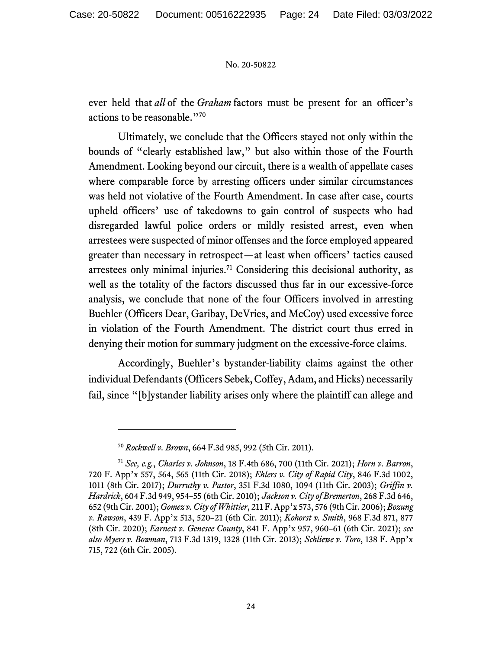ever held that *all* of the *Graham* factors must be present for an officer's actions to be reasonable."70

Ultimately, we conclude that the Officers stayed not only within the bounds of "clearly established law," but also within those of the Fourth Amendment. Looking beyond our circuit, there is a wealth of appellate cases where comparable force by arresting officers under similar circumstances was held not violative of the Fourth Amendment. In case after case, courts upheld officers' use of takedowns to gain control of suspects who had disregarded lawful police orders or mildly resisted arrest, even when arrestees were suspected of minor offenses and the force employed appeared greater than necessary in retrospect—at least when officers' tactics caused arrestees only minimal injuries.71 Considering this decisional authority, as well as the totality of the factors discussed thus far in our excessive-force analysis, we conclude that none of the four Officers involved in arresting Buehler (Officers Dear, Garibay, DeVries, and McCoy) used excessive force in violation of the Fourth Amendment. The district court thus erred in denying their motion for summary judgment on the excessive-force claims.

Accordingly, Buehler's bystander-liability claims against the other individual Defendants (Officers Sebek, Coffey, Adam, and Hicks) necessarily fail, since "[b]ystander liability arises only where the plaintiff can allege and

<sup>70</sup> *Rockwell v. Brown*, 664 F.3d 985, 992 (5th Cir. 2011).

<sup>71</sup> *See, e.g.*, *Charles v. Johnson*, 18 F.4th 686, 700 (11th Cir. 2021); *Horn v. Barron*, 720 F. App'x 557, 564, 565 (11th Cir. 2018); *Ehlers v. City of Rapid City*, 846 F.3d 1002, 1011 (8th Cir. 2017); *Durruthy v. Pastor*, 351 F.3d 1080, 1094 (11th Cir. 2003); *Griffin v. Hardrick*, 604 F.3d 949, 954–55 (6th Cir. 2010); *Jackson v. City of Bremerton*, 268 F.3d 646, 652 (9th Cir. 2001); *Gomez v. City of Whittier*, 211 F. App'x 573, 576 (9th Cir. 2006); *Bozung v. Rawson*, 439 F. App'x 513, 520–21 (6th Cir. 2011); *Kohorst v. Smith*, 968 F.3d 871, 877 (8th Cir. 2020); *Earnest v. Genesee County*, 841 F. App'x 957, 960–61 (6th Cir. 2021); *see also Myers v. Bowman*, 713 F.3d 1319, 1328 (11th Cir. 2013); *Schliewe v. Toro*, 138 F. App'x 715, 722 (6th Cir. 2005).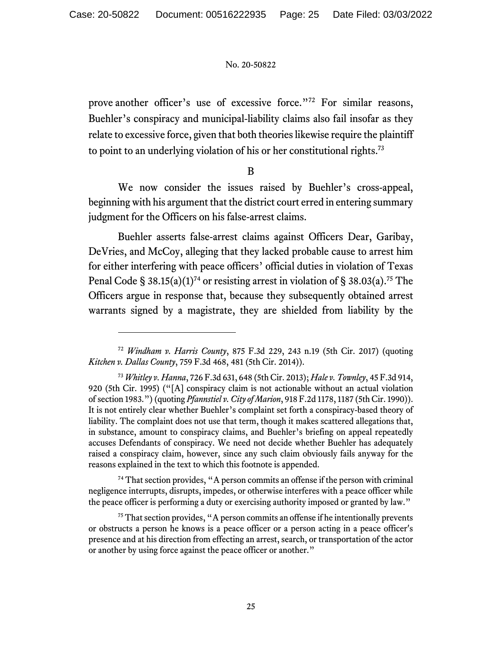prove another officer's use of excessive force."<sup>72</sup> For similar reasons, Buehler's conspiracy and municipal-liability claims also fail insofar as they relate to excessive force, given that both theories likewise require the plaintiff to point to an underlying violation of his or her constitutional rights.73

B

We now consider the issues raised by Buehler's cross-appeal, beginning with his argument that the district court erred in entering summary judgment for the Officers on his false-arrest claims.

Buehler asserts false-arrest claims against Officers Dear, Garibay, DeVries, and McCoy, alleging that they lacked probable cause to arrest him for either interfering with peace officers' official duties in violation of Texas Penal Code § 38.15(a)(1)<sup>74</sup> or resisting arrest in violation of § 38.03(a).<sup>75</sup> The Officers argue in response that, because they subsequently obtained arrest warrants signed by a magistrate, they are shielded from liability by the

<sup>74</sup> That section provides, "A person commits an offense if the person with criminal negligence interrupts, disrupts, impedes, or otherwise interferes with a peace officer while the peace officer is performing a duty or exercising authority imposed or granted by law."

<sup>72</sup> *Windham v. Harris County*, 875 F.3d 229, 243 n.19 (5th Cir. 2017) (quoting *Kitchen v. Dallas County*, 759 F.3d 468, 481 (5th Cir. 2014)).

<sup>73</sup> *Whitley v. Hanna*, 726 F.3d 631, 648 (5th Cir. 2013); *Hale v. Townley*, 45 F.3d 914, 920 (5th Cir. 1995) ("[A] conspiracy claim is not actionable without an actual violation of section 1983.") (quoting *Pfannstiel v. City of Marion*, 918 F.2d 1178, 1187 (5th Cir. 1990)). It is not entirely clear whether Buehler's complaint set forth a conspiracy-based theory of liability. The complaint does not use that term, though it makes scattered allegations that, in substance, amount to conspiracy claims, and Buehler's briefing on appeal repeatedly accuses Defendants of conspiracy. We need not decide whether Buehler has adequately raised a conspiracy claim, however, since any such claim obviously fails anyway for the reasons explained in the text to which this footnote is appended.

 $75$  That section provides, "A person commits an offense if he intentionally prevents or obstructs a person he knows is a peace officer or a person acting in a peace officer's presence and at his direction from effecting an arrest, search, or transportation of the actor or another by using force against the peace officer or another."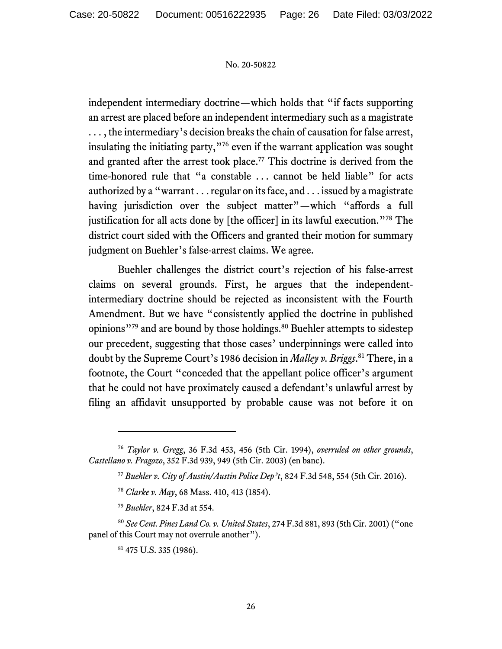independent intermediary doctrine—which holds that "if facts supporting an arrest are placed before an independent intermediary such as a magistrate . . . , the intermediary's decision breaks the chain of causation for false arrest, insulating the initiating party,"76 even if the warrant application was sought and granted after the arrest took place.<sup>77</sup> This doctrine is derived from the time-honored rule that "a constable . . . cannot be held liable" for acts authorized by a "warrant . . . regular on its face, and . . . issued by a magistrate having jurisdiction over the subject matter"—which "affords a full justification for all acts done by [the officer] in its lawful execution."78 The district court sided with the Officers and granted their motion for summary judgment on Buehler's false-arrest claims. We agree.

Buehler challenges the district court's rejection of his false-arrest claims on several grounds. First, he argues that the independentintermediary doctrine should be rejected as inconsistent with the Fourth Amendment. But we have "consistently applied the doctrine in published opinions"<sup>79</sup> and are bound by those holdings.<sup>80</sup> Buehler attempts to sidestep our precedent, suggesting that those cases' underpinnings were called into doubt by the Supreme Court's 1986 decision in *Malley v. Briggs*. 81 There, in a footnote, the Court "conceded that the appellant police officer's argument that he could not have proximately caused a defendant's unlawful arrest by filing an affidavit unsupported by probable cause was not before it on

<sup>76</sup> *Taylor v. Gregg*, 36 F.3d 453, 456 (5th Cir. 1994), *overruled on other grounds*, *Castellano v. Fragozo*, 352 F.3d 939, 949 (5th Cir. 2003) (en banc).

<sup>77</sup> *Buehler v. City of Austin/Austin Police Dep't*, 824 F.3d 548, 554 (5th Cir. 2016).

<sup>78</sup> *Clarke v. May*, 68 Mass. 410, 413 (1854).

<sup>79</sup> *Buehler*, 824 F.3d at 554.

<sup>80</sup> *See Cent. Pines Land Co. v. United States*, 274 F.3d 881, 893 (5th Cir. 2001) ("one panel of this Court may not overrule another").

<sup>81 475</sup> U.S. 335 (1986).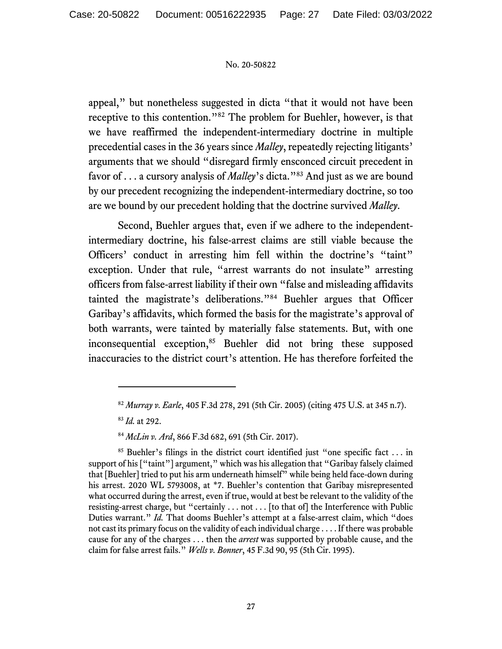appeal," but nonetheless suggested in dicta "that it would not have been receptive to this contention."82 The problem for Buehler, however, is that we have reaffirmed the independent-intermediary doctrine in multiple precedential cases in the 36 years since *Malley*, repeatedly rejecting litigants' arguments that we should "disregard firmly ensconced circuit precedent in favor of . . . a cursory analysis of *Malley*'s dicta."83 And just as we are bound by our precedent recognizing the independent-intermediary doctrine, so too are we bound by our precedent holding that the doctrine survived *Malley*.

Second, Buehler argues that, even if we adhere to the independentintermediary doctrine, his false-arrest claims are still viable because the Officers' conduct in arresting him fell within the doctrine's "taint" exception. Under that rule, "arrest warrants do not insulate" arresting officers from false-arrest liability if their own "false and misleading affidavits tainted the magistrate's deliberations."84 Buehler argues that Officer Garibay's affidavits, which formed the basis for the magistrate's approval of both warrants, were tainted by materially false statements. But, with one inconsequential exception,<sup>85</sup> Buehler did not bring these supposed inaccuracies to the district court's attention. He has therefore forfeited the

<sup>83</sup> *Id.* at 292.

<sup>82</sup> *Murray v. Earle*, 405 F.3d 278, 291 (5th Cir. 2005) (citing 475 U.S. at 345 n.7).

<sup>84</sup> *McLin v. Ard*, 866 F.3d 682, 691 (5th Cir. 2017).

<sup>&</sup>lt;sup>85</sup> Buehler's filings in the district court identified just "one specific fact ... in support of his ["taint"] argument," which was his allegation that "Garibay falsely claimed that [Buehler] tried to put his arm underneath himself" while being held face-down during his arrest. 2020 WL 5793008, at \*7. Buehler's contention that Garibay misrepresented what occurred during the arrest, even if true, would at best be relevant to the validity of the resisting-arrest charge, but "certainly . . . not . . . [to that of] the Interference with Public Duties warrant." *Id.* That dooms Buehler's attempt at a false-arrest claim, which "does not cast its primary focus on the validity of each individual charge . . . . If there was probable cause for any of the charges . . . then the *arrest* was supported by probable cause, and the claim for false arrest fails." *Wells v. Bonner*, 45 F.3d 90, 95 (5th Cir. 1995).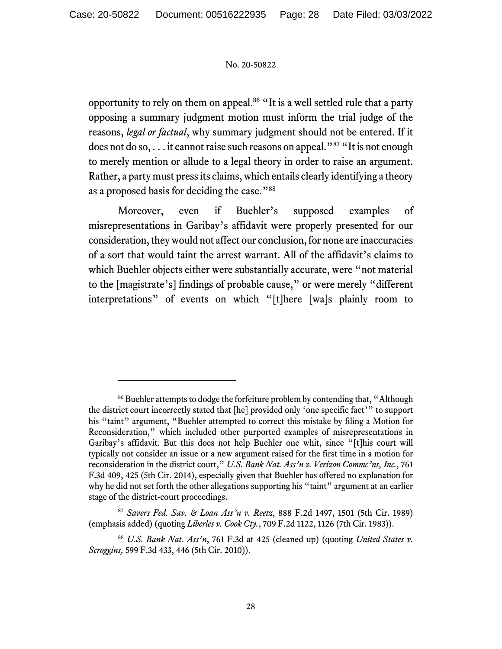opportunity to rely on them on appeal.<sup>86</sup> "It is a well settled rule that a party opposing a summary judgment motion must inform the trial judge of the reasons, *legal or factual*, why summary judgment should not be entered. If it does not do so, . . . it cannot raise such reasons on appeal."<sup>87</sup> "It is not enough to merely mention or allude to a legal theory in order to raise an argument. Rather, a party must press its claims, which entails clearly identifying a theory as a proposed basis for deciding the case."88

Moreover, even if Buehler's supposed examples of misrepresentations in Garibay's affidavit were properly presented for our consideration, they would not affect our conclusion, for none are inaccuracies of a sort that would taint the arrest warrant. All of the affidavit's claims to which Buehler objects either were substantially accurate, were "not material to the [magistrate's] findings of probable cause," or were merely "different interpretations" of events on which "[t]here [wa]s plainly room to

<sup>&</sup>lt;sup>86</sup> Buehler attempts to dodge the forfeiture problem by contending that, "Although the district court incorrectly stated that [he] provided only 'one specific fact'" to support his "taint" argument, "Buehler attempted to correct this mistake by filing a Motion for Reconsideration," which included other purported examples of misrepresentations in Garibay's affidavit. But this does not help Buehler one whit, since "[t]his court will typically not consider an issue or a new argument raised for the first time in a motion for reconsideration in the district court," *U.S. Bank Nat. Ass'n v. Verizon Commc'ns, Inc.*, 761 F.3d 409, 425 (5th Cir. 2014), especially given that Buehler has offered no explanation for why he did not set forth the other allegations supporting his "taint" argument at an earlier stage of the district-court proceedings.

<sup>87</sup> *Savers Fed. Sav. & Loan Ass'n v. Reetz*, 888 F.2d 1497, 1501 (5th Cir. 1989) (emphasis added) (quoting *Liberles v. Cook Cty.*, 709 F.2d 1122, 1126 (7th Cir. 1983)).

<sup>88</sup> *U.S. Bank Nat. Ass'n*, 761 F.3d at 425 (cleaned up) (quoting *United States v. Scroggins,* 599 F.3d 433, 446 (5th Cir. 2010)).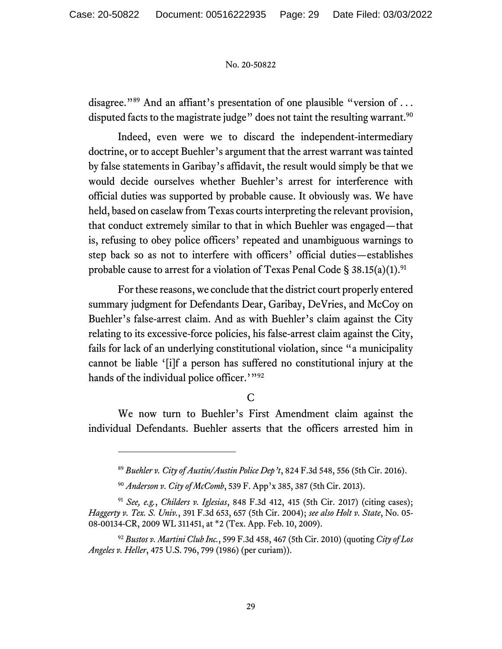disagree."<sup>89</sup> And an affiant's presentation of one plausible "version of ... disputed facts to the magistrate judge" does not taint the resulting warrant.<sup>90</sup>

Indeed, even were we to discard the independent-intermediary doctrine, or to accept Buehler's argument that the arrest warrant was tainted by false statements in Garibay's affidavit, the result would simply be that we would decide ourselves whether Buehler's arrest for interference with official duties was supported by probable cause. It obviously was. We have held, based on caselaw from Texas courts interpreting the relevant provision, that conduct extremely similar to that in which Buehler was engaged—that is, refusing to obey police officers' repeated and unambiguous warnings to step back so as not to interfere with officers' official duties—establishes probable cause to arrest for a violation of Texas Penal Code  $\S 38.15(a)(1).^{91}$ 

For these reasons, we conclude that the district court properly entered summary judgment for Defendants Dear, Garibay, DeVries, and McCoy on Buehler's false-arrest claim. And as with Buehler's claim against the City relating to its excessive-force policies, his false-arrest claim against the City, fails for lack of an underlying constitutional violation, since "a municipality cannot be liable '[i]f a person has suffered no constitutional injury at the hands of the individual police officer.'"92

# C

We now turn to Buehler's First Amendment claim against the individual Defendants. Buehler asserts that the officers arrested him in

<sup>89</sup> *Buehler v. City of Austin/Austin Police Dep't*, 824 F.3d 548, 556 (5th Cir. 2016).

<sup>90</sup> *Anderson v. City of McComb*, 539 F. App'x 385, 387 (5th Cir. 2013).

<sup>91</sup> *See, e.g.*, *Childers v. Iglesias*, 848 F.3d 412, 415 (5th Cir. 2017) (citing cases); *Haggerty v. Tex. S. Univ.*, 391 F.3d 653, 657 (5th Cir. 2004); *see also Holt v. State*, No. 05- 08-00134-CR, 2009 WL 311451, at \*2 (Tex. App. Feb. 10, 2009).

<sup>92</sup> *Bustos v. Martini Club Inc.*, 599 F.3d 458, 467 (5th Cir. 2010) (quoting *City of Los Angeles v. Heller*, 475 U.S. 796, 799 (1986) (per curiam)).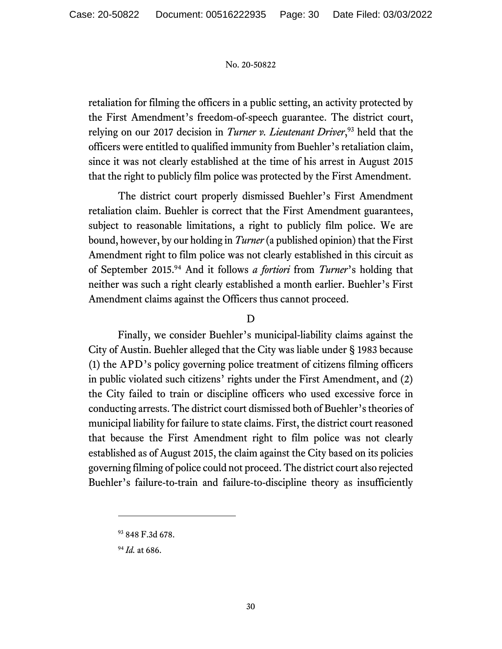retaliation for filming the officers in a public setting, an activity protected by the First Amendment's freedom-of-speech guarantee. The district court, relying on our 2017 decision in *Turner v. Lieutenant Driver*, 93 held that the officers were entitled to qualified immunity from Buehler's retaliation claim, since it was not clearly established at the time of his arrest in August 2015 that the right to publicly film police was protected by the First Amendment.

The district court properly dismissed Buehler's First Amendment retaliation claim. Buehler is correct that the First Amendment guarantees, subject to reasonable limitations, a right to publicly film police. We are bound, however, by our holding in *Turner* (a published opinion) that the First Amendment right to film police was not clearly established in this circuit as of September 2015.94 And it follows *a fortiori* from *Turner*'s holding that neither was such a right clearly established a month earlier. Buehler's First Amendment claims against the Officers thus cannot proceed.

### D

Finally, we consider Buehler's municipal-liability claims against the City of Austin. Buehler alleged that the City was liable under § 1983 because (1) the APD's policy governing police treatment of citizens filming officers in public violated such citizens' rights under the First Amendment, and (2) the City failed to train or discipline officers who used excessive force in conducting arrests. The district court dismissed both of Buehler's theories of municipal liability for failure to state claims. First, the district court reasoned that because the First Amendment right to film police was not clearly established as of August 2015, the claim against the City based on its policies governing filming of police could not proceed. The district court also rejected Buehler's failure-to-train and failure-to-discipline theory as insufficiently

<sup>93 848</sup> F.3d 678.

<sup>94</sup> *Id.* at 686.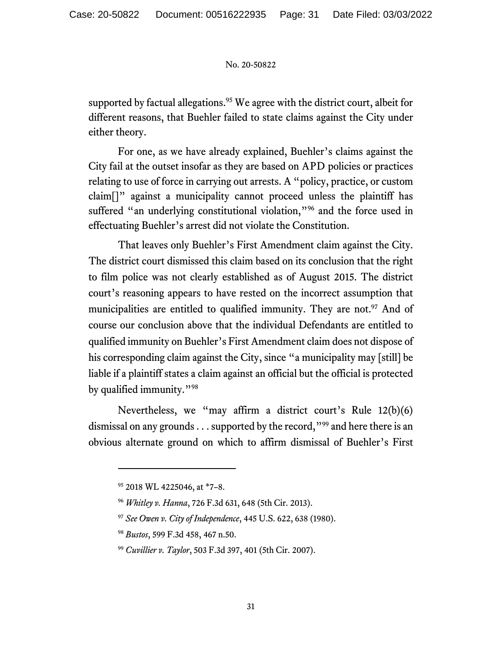supported by factual allegations.<sup>95</sup> We agree with the district court, albeit for different reasons, that Buehler failed to state claims against the City under either theory.

For one, as we have already explained, Buehler's claims against the City fail at the outset insofar as they are based on APD policies or practices relating to use of force in carrying out arrests. A "policy, practice, or custom claim[]" against a municipality cannot proceed unless the plaintiff has suffered "an underlying constitutional violation,"<sup>96</sup> and the force used in effectuating Buehler's arrest did not violate the Constitution.

That leaves only Buehler's First Amendment claim against the City. The district court dismissed this claim based on its conclusion that the right to film police was not clearly established as of August 2015. The district court's reasoning appears to have rested on the incorrect assumption that municipalities are entitled to qualified immunity. They are not.<sup>97</sup> And of course our conclusion above that the individual Defendants are entitled to qualified immunity on Buehler's First Amendment claim does not dispose of his corresponding claim against the City, since "a municipality may [still] be liable if a plaintiff states a claim against an official but the official is protected by qualified immunity."98

Nevertheless, we "may affirm a district court's Rule 12(b)(6) dismissal on any grounds . . . supported by the record, "<sup>99</sup> and here there is an obvious alternate ground on which to affirm dismissal of Buehler's First

<sup>95 2018</sup> WL 4225046, at \*7–8.

<sup>96</sup> *Whitley v. Hanna*, 726 F.3d 631, 648 (5th Cir. 2013).

<sup>97</sup> *See Owen v. City of Independence*, 445 U.S. 622, 638 (1980).

<sup>98</sup> *Bustos*, 599 F.3d 458, 467 n.50.

<sup>99</sup> *Cuvillier v. Taylor*, 503 F.3d 397, 401 (5th Cir. 2007).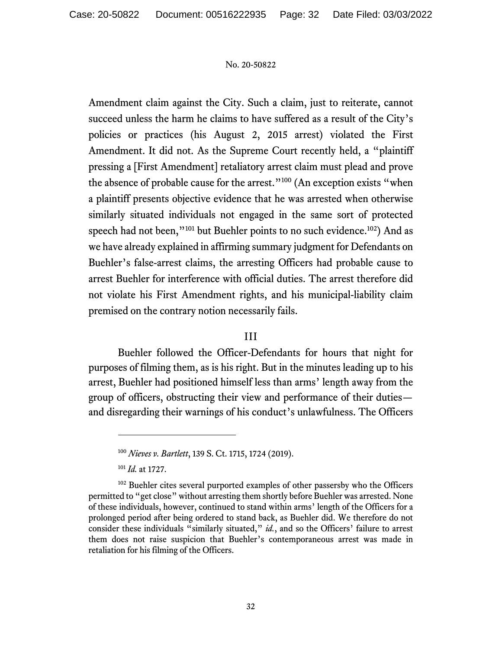Amendment claim against the City. Such a claim, just to reiterate, cannot succeed unless the harm he claims to have suffered as a result of the City's policies or practices (his August 2, 2015 arrest) violated the First Amendment. It did not. As the Supreme Court recently held, a "plaintiff pressing a [First Amendment] retaliatory arrest claim must plead and prove the absence of probable cause for the arrest."<sup>100</sup> (An exception exists "when a plaintiff presents objective evidence that he was arrested when otherwise similarly situated individuals not engaged in the same sort of protected speech had not been,"<sup>101</sup> but Buehler points to no such evidence.<sup>102</sup>) And as we have already explained in affirming summary judgment for Defendants on Buehler's false-arrest claims, the arresting Officers had probable cause to arrest Buehler for interference with official duties. The arrest therefore did not violate his First Amendment rights, and his municipal-liability claim premised on the contrary notion necessarily fails.

## III

Buehler followed the Officer-Defendants for hours that night for purposes of filming them, as is his right. But in the minutes leading up to his arrest, Buehler had positioned himself less than arms' length away from the group of officers, obstructing their view and performance of their duties and disregarding their warnings of his conduct's unlawfulness. The Officers

<sup>101</sup> *Id.* at 1727.

<sup>100</sup> *Nieves v. Bartlett*, 139 S. Ct. 1715, 1724 (2019).

<sup>&</sup>lt;sup>102</sup> Buehler cites several purported examples of other passersby who the Officers permitted to "get close" without arresting them shortly before Buehler was arrested. None of these individuals, however, continued to stand within arms' length of the Officers for a prolonged period after being ordered to stand back, as Buehler did. We therefore do not consider these individuals "similarly situated," *id.*, and so the Officers' failure to arrest them does not raise suspicion that Buehler's contemporaneous arrest was made in retaliation for his filming of the Officers.